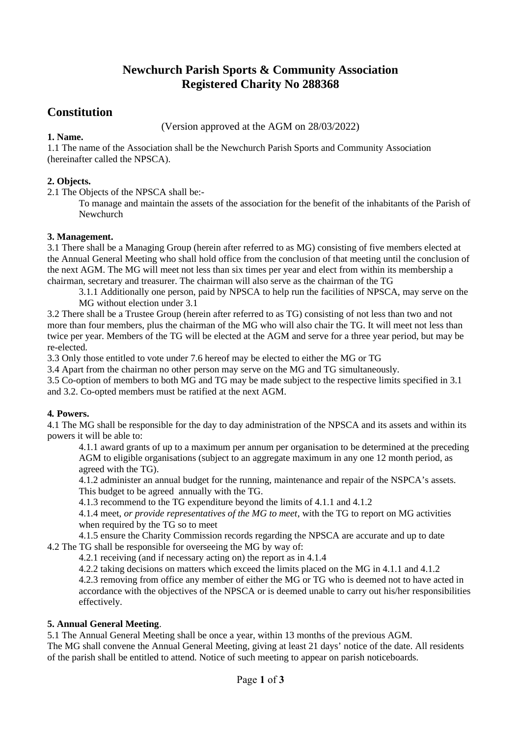# **Newchurch Parish Sports & Community Association Registered Charity No 288368**

# **Constitution**

## (Version approved at the AGM on 28/03/2022)

## **1. Name.**

1.1 The name of the Association shall be the Newchurch Parish Sports and Community Association (hereinafter called the NPSCA).

## **2. Objects.**

2.1 The Objects of the NPSCA shall be:-

To manage and maintain the assets of the association for the benefit of the inhabitants of the Parish of Newchurch

#### **3. Management.**

3.1 There shall be a Managing Group (herein after referred to as MG) consisting of five members elected at the Annual General Meeting who shall hold office from the conclusion of that meeting until the conclusion of the next AGM. The MG will meet not less than six times per year and elect from within its membership a chairman, secretary and treasurer. The chairman will also serve as the chairman of the TG

3.1.1 Additionally one person, paid by NPSCA to help run the facilities of NPSCA, may serve on the MG without election under 3.1

3.2 There shall be a Trustee Group (herein after referred to as TG) consisting of not less than two and not more than four members, plus the chairman of the MG who will also chair the TG. It will meet not less than twice per year. Members of the TG will be elected at the AGM and serve for a three year period, but may be re-elected.

3.3 Only those entitled to vote under 7.6 hereof may be elected to either the MG or TG

3.4 Apart from the chairman no other person may serve on the MG and TG simultaneously.

3.5 Co-option of members to both MG and TG may be made subject to the respective limits specified in 3.1 and 3.2. Co-opted members must be ratified at the next AGM.

## **4***.* **Powers.**

4.1 The MG shall be responsible for the day to day administration of the NPSCA and its assets and within its powers it will be able to:

4.1.1 award grants of up to a maximum per annum per organisation to be determined at the preceding AGM to eligible organisations (subject to an aggregate maximum in any one 12 month period, as agreed with the TG).

4.1.2 administer an annual budget for the running, maintenance and repair of the NSPCA's assets. This budget to be agreed annually with the TG.

4.1.3 recommend to the TG expenditure beyond the limits of 4.1.1 and 4.1.2

4.1.4 meet, *or provide representatives of the MG to meet*, with the TG to report on MG activities when required by the TG so to meet

4.1.5 ensure the Charity Commission records regarding the NPSCA are accurate and up to date 4.2 The TG shall be responsible for overseeing the MG by way of:

4.2.1 receiving (and if necessary acting on) the report as in 4.1.4

4.2.2 taking decisions on matters which exceed the limits placed on the MG in 4.1.1 and 4.1.2

4.2.3 removing from office any member of either the MG or TG who is deemed not to have acted in accordance with the objectives of the NPSCA or is deemed unable to carry out his/her responsibilities effectively.

#### **5. Annual General Meeting**.

5.1 The Annual General Meeting shall be once a year, within 13 months of the previous AGM.

The MG shall convene the Annual General Meeting, giving at least 21 days' notice of the date. All residents of the parish shall be entitled to attend. Notice of such meeting to appear on parish noticeboards.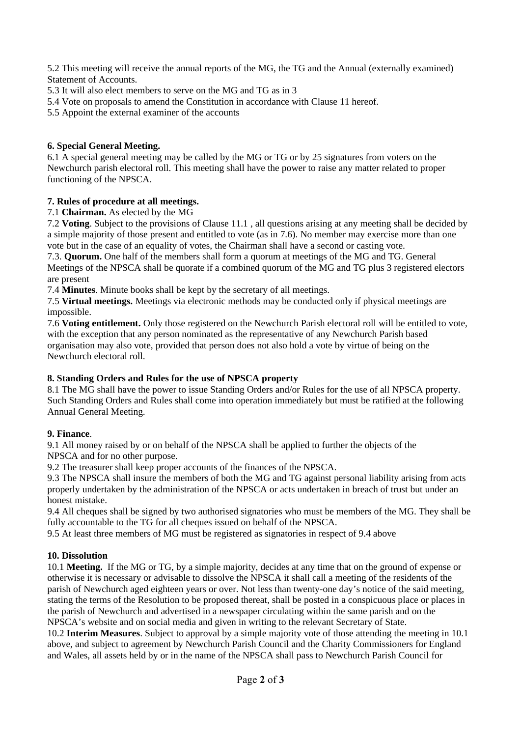5.2 This meeting will receive the annual reports of the MG, the TG and the Annual (externally examined) Statement of Accounts.

5.3 It will also elect members to serve on the MG and TG as in 3

- 5.4 Vote on proposals to amend the Constitution in accordance with Clause 11 hereof.
- 5.5 Appoint the external examiner of the accounts

## **6. Special General Meeting.**

6.1 A special general meeting may be called by the MG or TG or by 25 signatures from voters on the Newchurch parish electoral roll. This meeting shall have the power to raise any matter related to proper functioning of the NPSCA.

## **7. Rules of procedure at all meetings.**

#### 7.1 **Chairman.** As elected by the MG

7.2 **Voting**. Subject to the provisions of Clause 11.1 , all questions arising at any meeting shall be decided by a simple majority of those present and entitled to vote (as in 7.6). No member may exercise more than one vote but in the case of an equality of votes, the Chairman shall have a second or casting vote.

7.3. **Quorum.** One half of the members shall form a quorum at meetings of the MG and TG. General Meetings of the NPSCA shall be quorate if a combined quorum of the MG and TG plus 3 registered electors are present

7.4 **Minutes**. Minute books shall be kept by the secretary of all meetings.

7.5 **Virtual meetings.** Meetings via electronic methods may be conducted only if physical meetings are impossible.

7.6 **Voting entitlement.** Only those registered on the Newchurch Parish electoral roll will be entitled to vote, with the exception that any person nominated as the representative of any Newchurch Parish based organisation may also vote, provided that person does not also hold a vote by virtue of being on the Newchurch electoral roll.

#### **8. Standing Orders and Rules for the use of NPSCA property**

8.1 The MG shall have the power to issue Standing Orders and/or Rules for the use of all NPSCA property. Such Standing Orders and Rules shall come into operation immediately but must be ratified at the following Annual General Meeting.

#### **9. Finance**.

9.1 All money raised by or on behalf of the NPSCA shall be applied to further the objects of the NPSCA and for no other purpose.

9.2 The treasurer shall keep proper accounts of the finances of the NPSCA.

9.3 The NPSCA shall insure the members of both the MG and TG against personal liability arising from acts properly undertaken by the administration of the NPSCA or acts undertaken in breach of trust but under an honest mistake.

9.4 All cheques shall be signed by two authorised signatories who must be members of the MG. They shall be fully accountable to the TG for all cheques issued on behalf of the NPSCA.

9.5 At least three members of MG must be registered as signatories in respect of 9.4 above

#### **10. Dissolution**

10.1 **Meeting.** If the MG or TG, by a simple majority, decides at any time that on the ground of expense or otherwise it is necessary or advisable to dissolve the NPSCA it shall call a meeting of the residents of the parish of Newchurch aged eighteen years or over. Not less than twenty-one day's notice of the said meeting, stating the terms of the Resolution to be proposed thereat, shall be posted in a conspicuous place or places in the parish of Newchurch and advertised in a newspaper circulating within the same parish and on the NPSCA's website and on social media and given in writing to the relevant Secretary of State.

10.2 **Interim Measures**. Subject to approval by a simple majority vote of those attending the meeting in 10.1 above, and subject to agreement by Newchurch Parish Council and the Charity Commissioners for England and Wales, all assets held by or in the name of the NPSCA shall pass to Newchurch Parish Council for